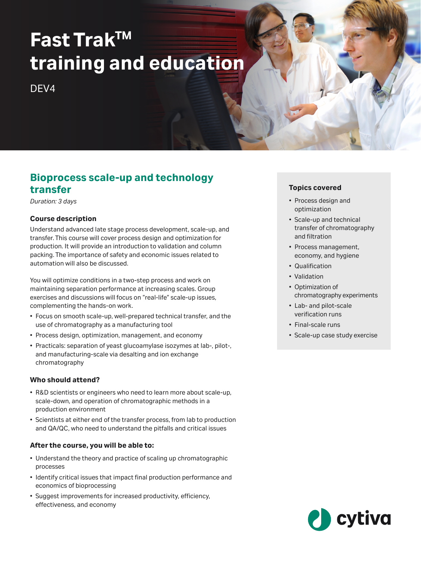# **Fast TrakTM training and education**

DEV4

# **Bioprocess scale‑up and technology transfer**

*Duration: 3 days*

# **Course description**

Understand advanced late stage process development, scale‑up, and transfer. This course will cover process design and optimization for production. It will provide an introduction to validation and column packing. The importance of safety and economic issues related to automation will also be discussed.

You will optimize conditions in a two-step process and work on maintaining separation performance at increasing scales. Group exercises and discussions will focus on "real-life" scale-up issues, complementing the hands‑on work.

- Focus on smooth scale‑up, well‑prepared technical transfer, and the use of chromatography as a manufacturing tool
- Process design, optimization, management, and economy
- Practicals: separation of yeast glucoamylase isozymes at lab-, pilot-, and manufacturing‑scale via desalting and ion exchange chromatography

# **Who should attend?**

- R&D scientists or engineers who need to learn more about scale-up, scale-down, and operation of chromatographic methods in a production environment
- Scientists at either end of the transfer process, from lab to production and QA/QC, who need to understand the pitfalls and critical issues

#### **After the course, you will be able to:**

- Understand the theory and practice of scaling up chromatographic processes
- Identify critical issues that impact final production performance and economics of bioprocessing
- Suggest improvements for increased productivity, efficiency, effectiveness, and economy

# **Topics covered**

- Process design and optimization
- Scale‑up and technical transfer of chromatography and filtration
- Process management, economy, and hygiene
- Qualification
- Validation
- Optimization of chromatography experiments
- Lab- and pilot-scale verification runs
- Final-scale runs
- Scale‑up case study exercise

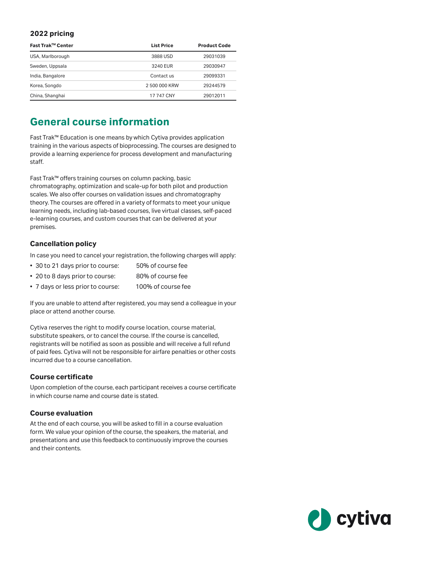#### **2022 pricing**

| Fast Trak™ Center | <b>List Price</b> | <b>Product Code</b> |
|-------------------|-------------------|---------------------|
| USA, Marlborough  | 3888 USD          | 29031039            |
| Sweden, Uppsala   | 3240 EUR          | 29030947            |
| India, Bangalore  | Contact us        | 29099331            |
| Korea, Songdo     | 2 500 000 KRW     | 29244579            |
| China, Shanghai   | 17 747 CNY        | 29012011            |

# **General course information**

Fast Trak™ Education is one means by which Cytiva provides application training in the various aspects of bioprocessing. The courses are designed to provide a learning experience for process development and manufacturing staff.

Fast Trak™ offers training courses on column packing, basic chromatography, optimization and scale-up for both pilot and production scales. We also offer courses on validation issues and chromatography theory. The courses are offered in a variety of formats to meet your unique learning needs, including lab-based courses, live virtual classes, self-paced e-learning courses, and custom courses that can be delivered at your premises.

#### **Cancellation policy**

In case you need to cancel your registration, the following charges will apply:

- 30 to 21 days prior to course: 50% of course fee
- 20 to 8 days prior to course: 80% of course fee
- 7 days or less prior to course: 100% of course fee

If you are unable to attend after registered, you may send a colleague in your place or attend another course.

Cytiva reserves the right to modify course location, course material, substitute speakers, or to cancel the course. If the course is cancelled, registrants will be notified as soon as possible and will receive a full refund of paid fees. Cytiva will not be responsible for airfare penalties or other costs incurred due to a course cancellation.

#### **Course certificate**

Upon completion of the course, each participant receives a course certificate in which course name and course date is stated.

# **Course evaluation**

At the end of each course, you will be asked to fill in a course evaluation form. We value your opinion ofthe course, the speakers, the material, and presentations and use this feedback to continuously improve the courses and their contents.